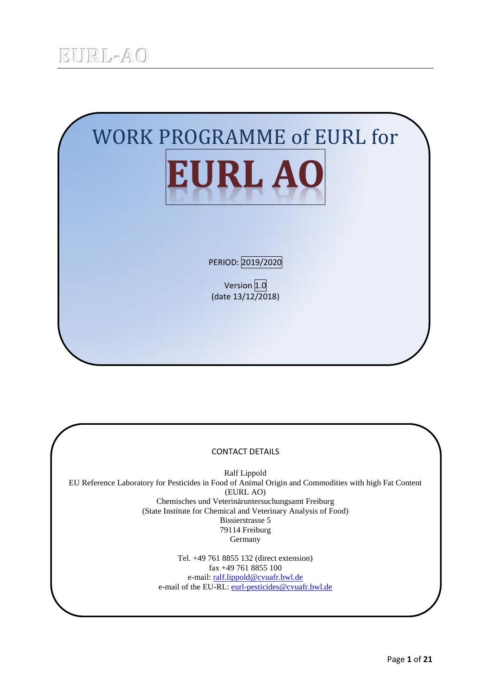

### CONTACT DETAILS

Ralf Lippold EU Reference Laboratory for Pesticides in Food of Animal Origin and Commodities with high Fat Content (EURL AO) Chemisches und Veterinäruntersuchungsamt Freiburg (State Institute for Chemical and Veterinary Analysis of Food) Bissierstrasse 5 79114 Freiburg Germany

> Tel. +49 761 8855 132 (direct extension) fax +49 761 8855 100 e-mail[: ralf.lippold@cvuafr.bwl.de](mailto:ralf.lippold@cvuafr.bwl.de) e-mail of the EU-RL: [eurl-pesticides@cvuafr.bwl.de](mailto:eurl-pesticides@cvuafr.bwl.de)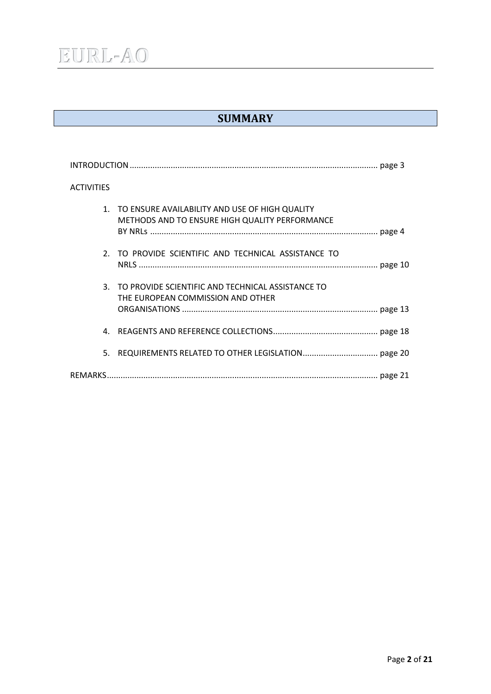## **SUMMARY**

| <b>ACTIVITIES</b>                                                                                   |
|-----------------------------------------------------------------------------------------------------|
| 1. TO ENSURE AVAILABILITY AND USE OF HIGH QUALITY<br>METHODS AND TO ENSURE HIGH QUALITY PERFORMANCE |
| 2. TO PROVIDE SCIENTIFIC AND TECHNICAL ASSISTANCE TO                                                |
| 3.<br>TO PROVIDE SCIENTIFIC AND TECHNICAL ASSISTANCE TO<br>THE EUROPEAN COMMISSION AND OTHER        |
| 4.                                                                                                  |
| 5.                                                                                                  |
|                                                                                                     |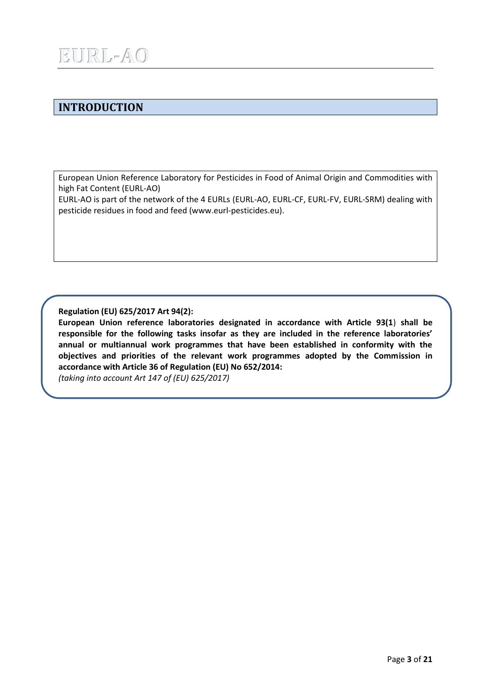## **INTRODUCTION**

European Union Reference Laboratory for Pesticides in Food of Animal Origin and Commodities with high Fat Content (EURL-AO)

EURL-AO is part of the network of the 4 EURLs (EURL-AO, EURL-CF, EURL-FV, EURL-SRM) dealing with pesticide residues in food and feed (www.eurl-pesticides.eu).

**Regulation (EU) 625/2017 Art 94(2):**

**European Union reference laboratories designated in accordance with Article 93(1**) **shall be responsible for the following tasks insofar as they are included in the reference laboratories' annual or multiannual work programmes that have been established in conformity with the objectives and priorities of the relevant work programmes adopted by the Commission in accordance with Article 36 of Regulation (EU) No 652/2014:**

*(taking into account Art 147 of (EU) 625/2017)*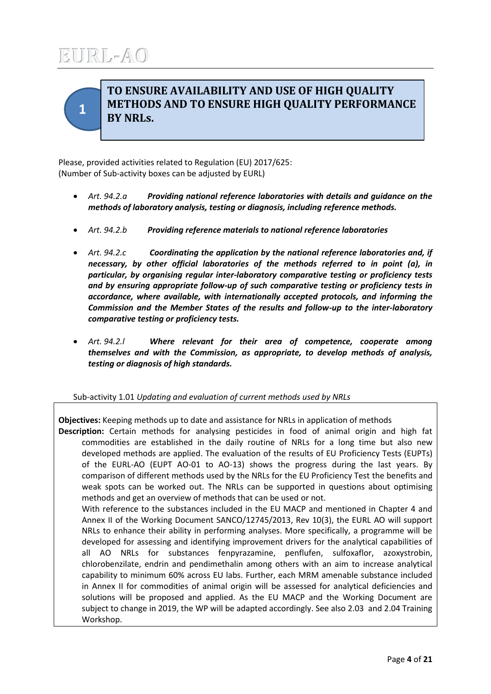<span id="page-3-0"></span>

## **TO ENSURE AVAILABILITY AND USE OF HIGH QUALITY METHODS AND TO ENSURE HIGH QUALITY PERFORMANCE BY NRLs.**

Please, provided activities related to Regulation (EU) 2017/625: (Number of Sub-activity boxes can be adjusted by EURL)

- *Art. 94.2.a Providing national reference laboratories with details and guidance on the methods of laboratory analysis, testing or diagnosis, including reference methods.*
- *Art. 94.2.b Providing reference materials to national reference laboratories*
- *Art. 94.2.c Coordinating the application by the national reference laboratories and, if necessary, by other official laboratories of the methods referred to in point (a), in particular, by organising regular inter-laboratory comparative testing or proficiency tests and by ensuring appropriate follow-up of such comparative testing or proficiency tests in accordance, where available, with internationally accepted protocols, and informing the Commission and the Member States of the results and follow-up to the inter-laboratory comparative testing or proficiency tests.*
- *Art. 94.2.l Where relevant for their area of competence, cooperate among themselves and with the Commission, as appropriate, to develop methods of analysis, testing or diagnosis of high standards.*

### Sub-activity 1.01 *Updating and evaluation of current methods used by NRLs*

**Objectives:** Keeping methods up to date and assistance for NRLs in application of methods **Description:** Certain methods for analysing pesticides in food of animal origin and high fat commodities are established in the daily routine of NRLs for a long time but also new developed methods are applied. The evaluation of the results of EU Proficiency Tests (EUPTs) of the EURL-AO (EUPT AO-01 to AO-13) shows the progress during the last years. By comparison of different methods used by the NRLs for the EU Proficiency Test the benefits and weak spots can be worked out. The NRLs can be supported in questions about optimising methods and get an overview of methods that can be used or not. With reference to the substances included in the EU MACP and mentioned in Chapter 4 and Annex II of the Working Document SANCO/12745/2013, Rev 10(3), the EURL AO will support NRLs to enhance their ability in performing analyses. More specifically, a programme will be developed for assessing and identifying improvement drivers for the analytical capabilities of all AO NRLs for substances fenpyrazamine, penflufen, sulfoxaflor, azoxystrobin, chlorobenzilate, endrin and pendimethalin among others with an aim to increase analytical capability to minimum 60% across EU labs. Further, each MRM amenable substance included in Annex II for commodities of animal origin will be assessed for analytical deficiencies and solutions will be proposed and applied. As the EU MACP and the Working Document are subject to change in 2019, the WP will be adapted accordingly. See also 2.03 and 2.04 Training Workshop.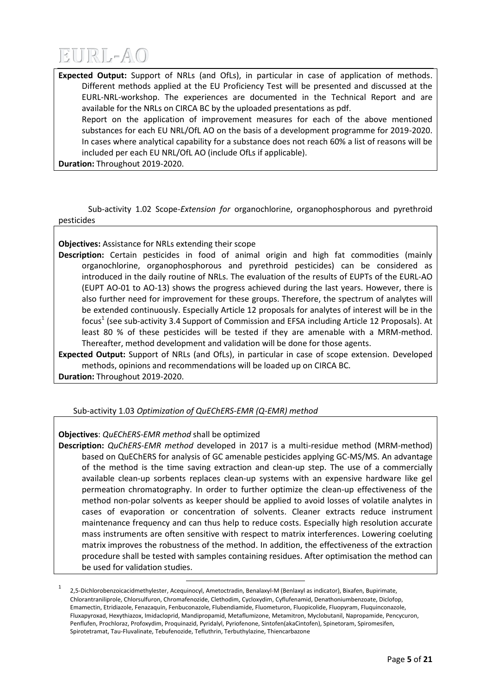

**Expected Output:** Support of NRLs (and OfLs), in particular in case of application of methods. Different methods applied at the EU Proficiency Test will be presented and discussed at the EURL-NRL-workshop. The experiences are documented in the Technical Report and are available for the NRLs on CIRCA BC by the uploaded presentations as pdf.

Report on the application of improvement measures for each of the above mentioned substances for each EU NRL/OfL AO on the basis of a development programme for 2019-2020. In cases where analytical capability for a substance does not reach 60% a list of reasons will be included per each EU NRL/OfL AO (include OfLs if applicable).

**Duration:** Throughout 2019-2020.

Sub-activity 1.02 Scope-*Extension for* organochlorine, organophosphorous and pyrethroid pesticides

**Objectives:** Assistance for NRLs extending their scope

**Description:** Certain pesticides in food of animal origin and high fat commodities (mainly organochlorine, organophosphorous and pyrethroid pesticides) can be considered as introduced in the daily routine of NRLs. The evaluation of the results of EUPTs of the EURL-AO (EUPT AO-01 to AO-13) shows the progress achieved during the last years. However, there is also further need for improvement for these groups. Therefore, the spectrum of analytes will be extended continuously. Especially Article 12 proposals for analytes of interest will be in the focus<sup>1</sup> (see sub-activity 3.4 Support of Commission and EFSA including Article 12 Proposals). At least 80 % of these pesticides will be tested if they are amenable with a MRM-method. Thereafter, method development and validation will be done for those agents.

**Expected Output:** Support of NRLs (and OfLs), in particular in case of scope extension. Developed methods, opinions and recommendations will be loaded up on CIRCA BC.

**Duration:** Throughout 2019-2020.

### Sub-activity 1.03 *Optimization of QuEChERS-EMR (Q-EMR) method*

 $\overline{a}$ 

### **Objectives**: *QuEChERS-EMR method* shall be optimized

**Description:** *QuChERS-EMR method* developed in 2017 is a multi-residue method (MRM-method) based on QuEChERS for analysis of GC amenable pesticides applying GC-MS/MS. An advantage of the method is the time saving extraction and clean-up step. The use of a commercially available clean-up sorbents replaces clean-up systems with an expensive hardware like gel permeation chromatography. In order to further optimize the clean-up effectiveness of the method non-polar solvents as keeper should be applied to avoid losses of volatile analytes in cases of evaporation or concentration of solvents. Cleaner extracts reduce instrument maintenance frequency and can thus help to reduce costs. Especially high resolution accurate mass instruments are often sensitive with respect to matrix interferences. Lowering coeluting matrix improves the robustness of the method. In addition, the effectiveness of the extraction procedure shall be tested with samples containing residues. After optimisation the method can be used for validation studies.

<sup>1</sup> 2,5-Dichlorobenzoicacidmethylester, Acequinocyl, Ametoctradin, Benalaxyl-M (Benlaxyl as indicator), Bixafen, Bupirimate, Chlorantraniliprole, Chlorsulfuron, Chromafenozide, Clethodim, Cycloxydim, Cyflufenamid, Denathoniumbenzoate, Diclofop, Emamectin, Etridiazole, Fenazaquin, Fenbuconazole, Flubendiamide, Fluometuron, Fluopicolide, Fluopyram, Fluquinconazole, Fluxapyroxad, Hexythiazox, Imidacloprid, Mandipropamid, Metaflumizone, Metamitron, Myclobutanil, Napropamide, Pencycuron, Penflufen, Prochloraz, Profoxydim, Proquinazid, Pyridalyl, Pyriofenone, Sintofen(akaCintofen), Spinetoram, Spiromesifen, Spirotetramat, Tau-Fluvalinate, Tebufenozide, Tefluthrin, Terbuthylazine, Thiencarbazone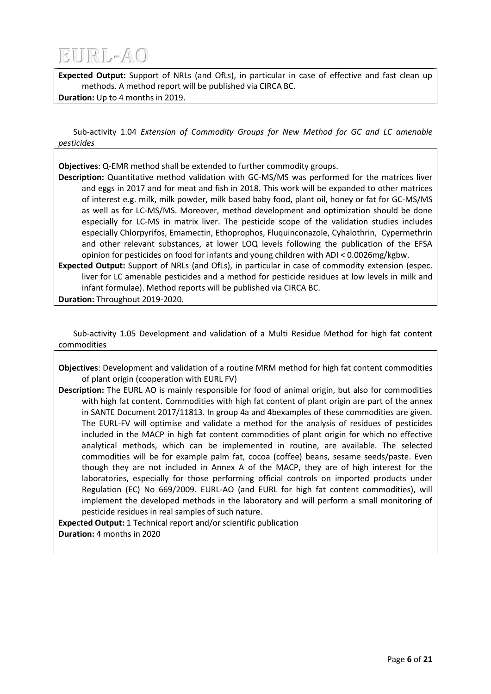**Expected Output:** Support of NRLs (and OfLs), in particular in case of effective and fast clean up methods. A method report will be published via CIRCA BC.

**Duration:** Up to 4 months in 2019.

Sub-activity 1.04 *Extension of Commodity Groups for New Method for GC and LC amenable pesticides*

**Objectives**: Q-EMR method shall be extended to further commodity groups.

**Description:** Quantitative method validation with GC-MS/MS was performed for the matrices liver and eggs in 2017 and for meat and fish in 2018. This work will be expanded to other matrices of interest e.g. milk, milk powder, milk based baby food, plant oil, honey or fat for GC-MS/MS as well as for LC-MS/MS. Moreover, method development and optimization should be done especially for LC-MS in matrix liver. The pesticide scope of the validation studies includes especially Chlorpyrifos, Emamectin, Ethoprophos, Fluquinconazole, Cyhalothrin, Cypermethrin and other relevant substances, at lower LOQ levels following the publication of the EFSA opinion for pesticides on food for infants and young children with ADI < 0.0026mg/kgbw.

**Expected Output:** Support of NRLs (and OfLs), in particular in case of commodity extension (espec. liver for LC amenable pesticides and a method for pesticide residues at low levels in milk and infant formulae). Method reports will be published via CIRCA BC.

**Duration:** Throughout 2019-2020.

Sub-activity 1.05 Development and validation of a Multi Residue Method for high fat content commodities

**Objectives**: Development and validation of a routine MRM method for high fat content commodities of plant origin (cooperation with EURL FV)

**Description:** The EURL AO is mainly responsible for food of animal origin, but also for commodities with high fat content. Commodities with high fat content of plant origin are part of the annex in SANTE Document 2017/11813. In group 4a and 4bexamples of these commodities are given. The EURL-FV will optimise and validate a method for the analysis of residues of pesticides included in the MACP in high fat content commodities of plant origin for which no effective analytical methods, which can be implemented in routine, are available. The selected commodities will be for example palm fat, cocoa (coffee) beans, sesame seeds/paste. Even though they are not included in Annex A of the MACP, they are of high interest for the laboratories, especially for those performing official controls on imported products under Regulation (EC) No 669/2009. EURL-AO (and EURL for high fat content commodities), will implement the developed methods in the laboratory and will perform a small monitoring of pesticide residues in real samples of such nature.

**Expected Output:** 1 Technical report and/or scientific publication **Duration:** 4 months in 2020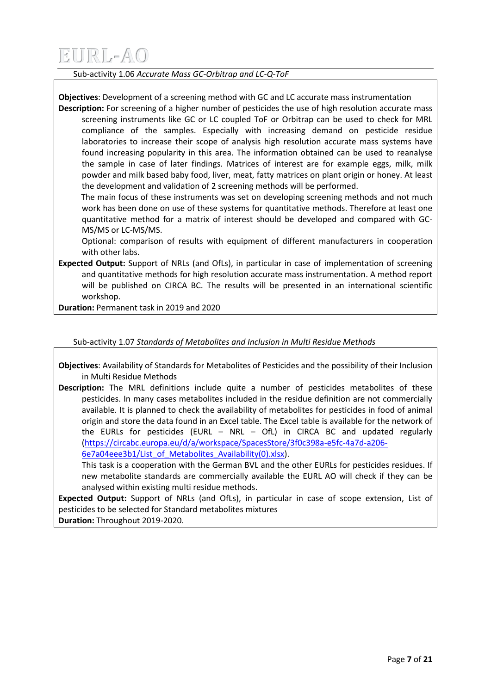Sub-activity 1.06 *Accurate Mass GC-Orbitrap and LC-Q-ToF*

**Objectives**: Development of a screening method with GC and LC accurate mass instrumentation

**Description:** For screening of a higher number of pesticides the use of high resolution accurate mass screening instruments like GC or LC coupled ToF or Orbitrap can be used to check for MRL compliance of the samples. Especially with increasing demand on pesticide residue laboratories to increase their scope of analysis high resolution accurate mass systems have found increasing popularity in this area. The information obtained can be used to reanalyse the sample in case of later findings. Matrices of interest are for example eggs, milk, milk powder and milk based baby food, liver, meat, fatty matrices on plant origin or honey. At least the development and validation of 2 screening methods will be performed.

 The main focus of these instruments was set on developing screening methods and not much work has been done on use of these systems for quantitative methods. Therefore at least one quantitative method for a matrix of interest should be developed and compared with GC-MS/MS or LC-MS/MS.

Optional: comparison of results with equipment of different manufacturers in cooperation with other labs.

**Expected Output:** Support of NRLs (and OfLs), in particular in case of implementation of screening and quantitative methods for high resolution accurate mass instrumentation. A method report will be published on CIRCA BC. The results will be presented in an international scientific workshop.

**Duration:** Permanent task in 2019 and 2020

Sub-activity 1.07 *Standards of Metabolites and Inclusion in Multi Residue Methods*

**Objectives**: Availability of Standards for Metabolites of Pesticides and the possibility of their Inclusion in Multi Residue Methods

**Description:** The MRL definitions include quite a number of pesticides metabolites of these pesticides. In many cases metabolites included in the residue definition are not commercially available. It is planned to check the availability of metabolites for pesticides in food of animal origin and store the data found in an Excel table. The Excel table is available for the network of the EURLs for pesticides (EURL  $-$  NRL  $-$  OfL) in CIRCA BC and updated regularly [\(https://circabc.europa.eu/d/a/workspace/SpacesStore/3f0c398a-e5fc-4a7d-a206-](https://circabc.europa.eu/d/a/workspace/SpacesStore/3f0c398a-e5fc-4a7d-a206-6e7a04eee3b1/List_of_Metabolites_Availability(0).xlsx) [6e7a04eee3b1/List\\_of\\_Metabolites\\_Availability\(0\).xlsx\)](https://circabc.europa.eu/d/a/workspace/SpacesStore/3f0c398a-e5fc-4a7d-a206-6e7a04eee3b1/List_of_Metabolites_Availability(0).xlsx).

This task is a cooperation with the German BVL and the other EURLs for pesticides residues. If new metabolite standards are commercially available the EURL AO will check if they can be analysed within existing multi residue methods.

**Expected Output:** Support of NRLs (and OfLs), in particular in case of scope extension, List of pesticides to be selected for Standard metabolites mixtures **Duration:** Throughout 2019-2020.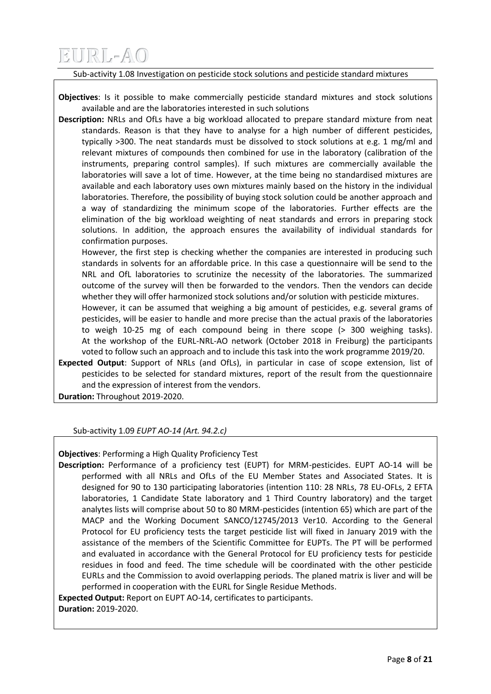### Sub-activity 1.08 Investigation on pesticide stock solutions and pesticide standard mixtures

**Objectives**: Is it possible to make commercially pesticide standard mixtures and stock solutions available and are the laboratories interested in such solutions

**Description:** NRLs and OfLs have a big workload allocated to prepare standard mixture from neat standards. Reason is that they have to analyse for a high number of different pesticides, typically >300. The neat standards must be dissolved to stock solutions at e.g. 1 mg/ml and relevant mixtures of compounds then combined for use in the laboratory (calibration of the instruments, preparing control samples). If such mixtures are commercially available the laboratories will save a lot of time. However, at the time being no standardised mixtures are available and each laboratory uses own mixtures mainly based on the history in the individual laboratories. Therefore, the possibility of buying stock solution could be another approach and a way of standardizing the minimum scope of the laboratories. Further effects are the elimination of the big workload weighting of neat standards and errors in preparing stock solutions. In addition, the approach ensures the availability of individual standards for confirmation purposes.

However, the first step is checking whether the companies are interested in producing such standards in solvents for an affordable price. In this case a questionnaire will be send to the NRL and OfL laboratories to scrutinize the necessity of the laboratories. The summarized outcome of the survey will then be forwarded to the vendors. Then the vendors can decide whether they will offer harmonized stock solutions and/or solution with pesticide mixtures.

However, it can be assumed that weighing a big amount of pesticides, e.g. several grams of pesticides, will be easier to handle and more precise than the actual praxis of the laboratories to weigh 10-25 mg of each compound being in there scope (> 300 weighing tasks). At the workshop of the EURL-NRL-AO network (October 2018 in Freiburg) the participants voted to follow such an approach and to include this task into the work programme 2019/20.

**Expected Output**: Support of NRLs (and OfLs), in particular in case of scope extension, list of pesticides to be selected for standard mixtures, report of the result from the questionnaire and the expression of interest from the vendors.

**Duration:** Throughout 2019-2020.

Sub-activity 1.09 *EUPT AO-14 (Art. 94.2.c)*

**Objectives**: Performing a High Quality Proficiency Test

**Description:** Performance of a proficiency test (EUPT) for MRM-pesticides. EUPT AO-14 will be performed with all NRLs and OfLs of the EU Member States and Associated States. It is designed for 90 to 130 participating laboratories (intention 110: 28 NRLs, 78 EU-OFLs, 2 EFTA laboratories, 1 Candidate State laboratory and 1 Third Country laboratory) and the target analytes lists will comprise about 50 to 80 MRM-pesticides (intention 65) which are part of the MACP and the Working Document SANCO/12745/2013 Ver10. According to the General Protocol for EU proficiency tests the target pesticide list will fixed in January 2019 with the assistance of the members of the Scientific Committee for EUPTs. The PT will be performed and evaluated in accordance with the General Protocol for EU proficiency tests for pesticide residues in food and feed. The time schedule will be coordinated with the other pesticide EURLs and the Commission to avoid overlapping periods. The planed matrix is liver and will be performed in cooperation with the EURL for Single Residue Methods.

**Expected Output:** Report on EUPT AO-14, certificates to participants. **Duration:** 2019-2020.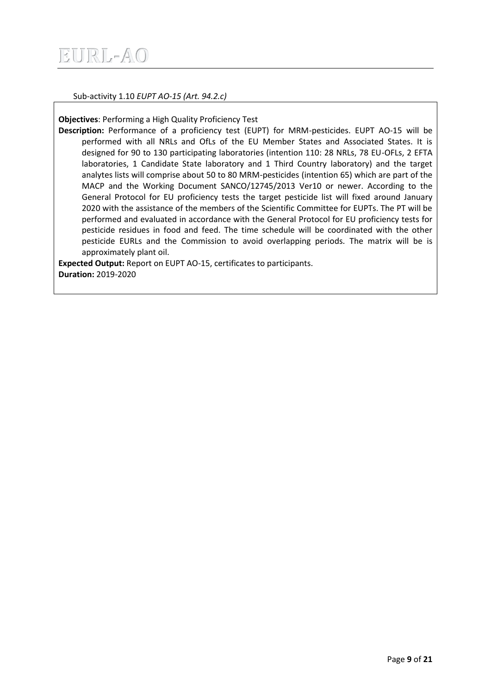

Sub-activity 1.10 *EUPT AO-15 (Art. 94.2.c)*

**Objectives**: Performing a High Quality Proficiency Test

**Description:** Performance of a proficiency test (EUPT) for MRM-pesticides. EUPT AO-15 will be performed with all NRLs and OfLs of the EU Member States and Associated States. It is designed for 90 to 130 participating laboratories (intention 110: 28 NRLs, 78 EU-OFLs, 2 EFTA laboratories, 1 Candidate State laboratory and 1 Third Country laboratory) and the target analytes lists will comprise about 50 to 80 MRM-pesticides (intention 65) which are part of the MACP and the Working Document SANCO/12745/2013 Ver10 or newer. According to the General Protocol for EU proficiency tests the target pesticide list will fixed around January 2020 with the assistance of the members of the Scientific Committee for EUPTs. The PT will be performed and evaluated in accordance with the General Protocol for EU proficiency tests for pesticide residues in food and feed. The time schedule will be coordinated with the other pesticide EURLs and the Commission to avoid overlapping periods. The matrix will be is approximately plant oil.

**Expected Output:** Report on EUPT AO-15, certificates to participants. **Duration:** 2019-2020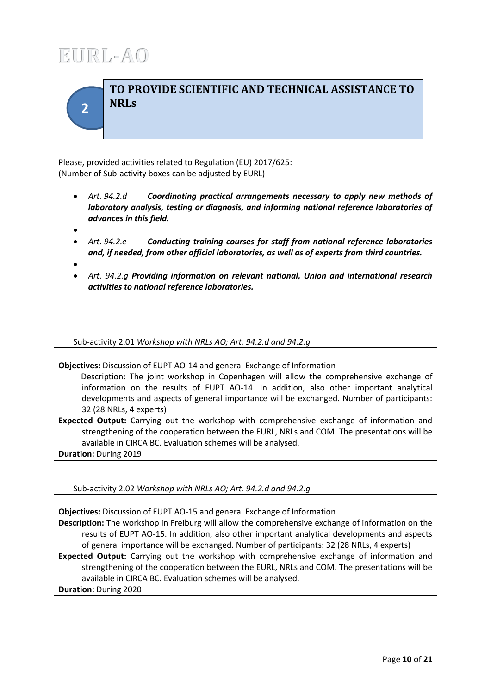<span id="page-9-0"></span>**2**

## **TO PROVIDE SCIENTIFIC AND TECHNICAL ASSISTANCE TO NRLs**

Please, provided activities related to Regulation (EU) 2017/625: (Number of Sub-activity boxes can be adjusted by EURL)

- *Art. 94.2.d Coordinating practical arrangements necessary to apply new methods of laboratory analysis, testing or diagnosis, and informing national reference laboratories of advances in this field.*
- $\bullet$
- *Art. 94.2.e Conducting training courses for staff from national reference laboratories and, if needed, from other official laboratories, as well as of experts from third countries.*
- $\bullet$
- *Art. 94.2.g Providing information on relevant national, Union and international research activities to national reference laboratories.*

Sub-activity 2.01 *Workshop with NRLs AO; Art. 94.2.d and 94.2.g*

**Objectives:** Discussion of EUPT AO-14 and general Exchange of Information Description: The joint workshop in Copenhagen will allow the comprehensive exchange of information on the results of EUPT AO-14. In addition, also other important analytical developments and aspects of general importance will be exchanged. Number of participants: 32 (28 NRLs, 4 experts)

**Expected Output:** Carrying out the workshop with comprehensive exchange of information and strengthening of the cooperation between the EURL, NRLs and COM. The presentations will be available in CIRCA BC. Evaluation schemes will be analysed.

**Duration:** During 2019

Sub-activity 2.02 *Workshop with NRLs AO; Art. 94.2.d and 94.2.g*

**Objectives:** Discussion of EUPT AO-15 and general Exchange of Information **Description:** The workshop in Freiburg will allow the comprehensive exchange of information on the

results of EUPT AO-15. In addition, also other important analytical developments and aspects of general importance will be exchanged. Number of participants: 32 (28 NRLs, 4 experts) **Expected Output:** Carrying out the workshop with comprehensive exchange of information and strengthening of the cooperation between the EURL, NRLs and COM. The presentations will be

available in CIRCA BC. Evaluation schemes will be analysed.

**Duration:** During 2020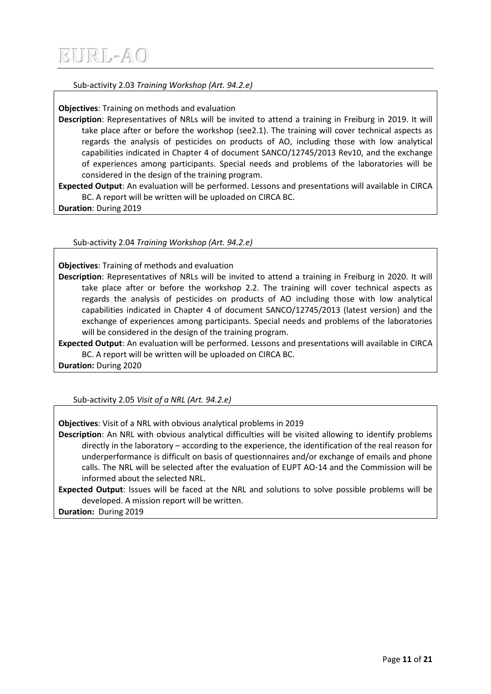### Sub-activity 2.03 *Training Workshop (Art. 94.2.e)*

**Objectives**: Training on methods and evaluation

**Description**: Representatives of NRLs will be invited to attend a training in Freiburg in 2019. It will take place after or before the workshop (see2.1). The training will cover technical aspects as regards the analysis of pesticides on products of AO, including those with low analytical capabilities indicated in Chapter 4 of document SANCO/12745/2013 Rev10, and the exchange of experiences among participants. Special needs and problems of the laboratories will be considered in the design of the training program.

**Expected Output**: An evaluation will be performed. Lessons and presentations will available in CIRCA BC. A report will be written will be uploaded on CIRCA BC.

**Duration**: During 2019

Sub-activity 2.04 *Training Workshop (Art. 94.2.e)*

**Objectives**: Training of methods and evaluation

**Description**: Representatives of NRLs will be invited to attend a training in Freiburg in 2020. It will take place after or before the workshop 2.2. The training will cover technical aspects as regards the analysis of pesticides on products of AO including those with low analytical capabilities indicated in Chapter 4 of document SANCO/12745/2013 (latest version) and the exchange of experiences among participants. Special needs and problems of the laboratories will be considered in the design of the training program.

**Expected Output**: An evaluation will be performed. Lessons and presentations will available in CIRCA BC. A report will be written will be uploaded on CIRCA BC.

**Duration:** During 2020

Sub-activity 2.05 *Visit of a NRL (Art. 94.2.e)*

**Objectives**: Visit of a NRL with obvious analytical problems in 2019

**Description**: An NRL with obvious analytical difficulties will be visited allowing to identify problems directly in the laboratory – according to the experience, the identification of the real reason for underperformance is difficult on basis of questionnaires and/or exchange of emails and phone calls. The NRL will be selected after the evaluation of EUPT AO-14 and the Commission will be informed about the selected NRL.

**Expected Output**: Issues will be faced at the NRL and solutions to solve possible problems will be developed. A mission report will be written.

**Duration:** During 2019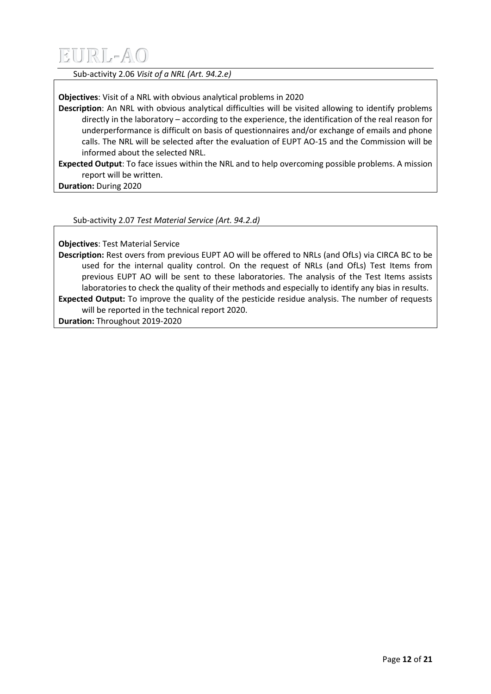Sub-activity 2.06 *Visit of a NRL (Art. 94.2.e)*

**Objectives**: Visit of a NRL with obvious analytical problems in 2020

**Description**: An NRL with obvious analytical difficulties will be visited allowing to identify problems directly in the laboratory – according to the experience, the identification of the real reason for underperformance is difficult on basis of questionnaires and/or exchange of emails and phone calls. The NRL will be selected after the evaluation of EUPT AO-15 and the Commission will be informed about the selected NRL.

**Expected Output**: To face issues within the NRL and to help overcoming possible problems. A mission report will be written.

**Duration:** During 2020

Sub-activity 2.07 *Test Material Service (Art. 94.2.d)*

**Objectives**: Test Material Service

**Description:** Rest overs from previous EUPT AO will be offered to NRLs (and OfLs) via CIRCA BC to be used for the internal quality control. On the request of NRLs (and OfLs) Test Items from previous EUPT AO will be sent to these laboratories. The analysis of the Test Items assists laboratories to check the quality of their methods and especially to identify any bias in results. **Expected Output:** To improve the quality of the pesticide residue analysis. The number of requests will be reported in the technical report 2020.

**Duration:** Throughout 2019-2020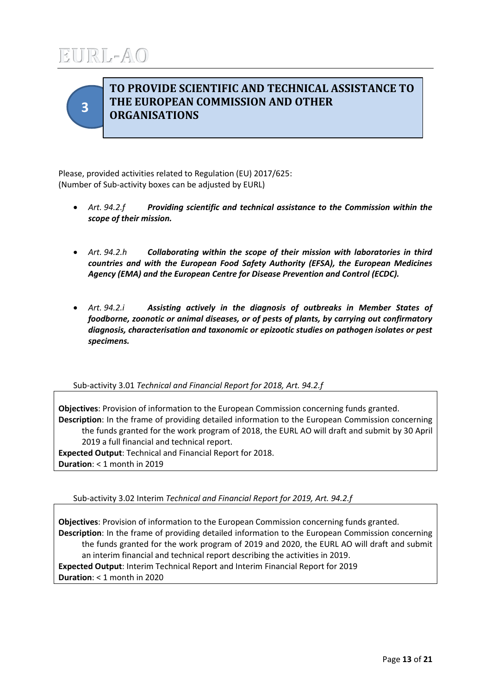<span id="page-12-0"></span>

### **TO PROVIDE SCIENTIFIC AND TECHNICAL ASSISTANCE TO THE EUROPEAN COMMISSION AND OTHER ORGANISATIONS**

Please, provided activities related to Regulation (EU) 2017/625: (Number of Sub-activity boxes can be adjusted by EURL)

- *Art. 94.2.f Providing scientific and technical assistance to the Commission within the scope of their mission.*
- *Art. 94.2.h Collaborating within the scope of their mission with laboratories in third countries and with the European Food Safety Authority (EFSA), the European Medicines Agency (EMA) and the European Centre for Disease Prevention and Control (ECDC).*
- *Art. 94.2.i Assisting actively in the diagnosis of outbreaks in Member States of foodborne, zoonotic or animal diseases, or of pests of plants, by carrying out confirmatory diagnosis, characterisation and taxonomic or epizootic studies on pathogen isolates or pest specimens.*

Sub-activity 3.01 *Technical and Financial Report for 2018, Art. 94.2.f*

**Objectives**: Provision of information to the European Commission concerning funds granted. **Description**: In the frame of providing detailed information to the European Commission concerning the funds granted for the work program of 2018, the EURL AO will draft and submit by 30 April 2019 a full financial and technical report. **Expected Output**: Technical and Financial Report for 2018. **Duration**: < 1 month in 2019

Sub-activity 3.02 Interim *Technical and Financial Report for 2019, Art. 94.2.f*

**Objectives**: Provision of information to the European Commission concerning funds granted. **Description**: In the frame of providing detailed information to the European Commission concerning the funds granted for the work program of 2019 and 2020, the EURL AO will draft and submit an interim financial and technical report describing the activities in 2019. **Expected Output**: Interim Technical Report and Interim Financial Report for 2019 **Duration**: < 1 month in 2020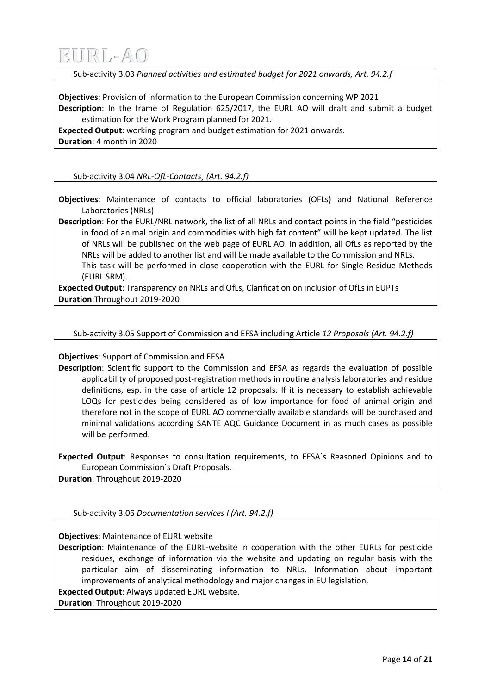Sub-activity 3.03 *Planned activities and estimated budget for 2021 onwards, Art. 94.2.f*

**Objectives**: Provision of information to the European Commission concerning WP 2021 **Description**: In the frame of Regulation 625/2017, the EURL AO will draft and submit a budget estimation for the Work Program planned for 2021.

**Expected Output**: working program and budget estimation for 2021 onwards. **Duration**: 4 month in 2020

Sub-activity 3.04 *NRL-OfL-Contacts¸ (Art. 94.2.f)*

**Objectives**: Maintenance of contacts to official laboratories (OFLs) and National Reference Laboratories (NRLs)

**Description**: For the EURL/NRL network, the list of all NRLs and contact points in the field "pesticides in food of animal origin and commodities with high fat content" will be kept updated. The list of NRLs will be published on the web page of EURL AO. In addition, all OfLs as reported by the NRLs will be added to another list and will be made available to the Commission and NRLs. This task will be performed in close cooperation with the EURL for Single Residue Methods (EURL SRM).

**Expected Output**: Transparency on NRLs and OfLs, Clarification on inclusion of OfLs in EUPTs **Duration**:Throughout 2019-2020

Sub-activity 3.05 Support of Commission and EFSA including Article *12 Proposals (Art. 94.2.f)*

**Objectives**: Support of Commission and EFSA

**Description**: Scientific support to the Commission and EFSA as regards the evaluation of possible applicability of proposed post-registration methods in routine analysis laboratories and residue definitions, esp. in the case of article 12 proposals. If it is necessary to establish achievable LOQs for pesticides being considered as of low importance for food of animal origin and therefore not in the scope of EURL AO commercially available standards will be purchased and minimal validations according SANTE AQC Guidance Document in as much cases as possible will be performed.

**Expected Output**: Responses to consultation requirements, to EFSA`s Reasoned Opinions and to European Commission`s Draft Proposals. **Duration**: Throughout 2019-2020

Sub-activity 3.06 *Documentation services I (Art. 94.2.f)*

**Objectives**: Maintenance of EURL website

**Description**: Maintenance of the EURL-website in cooperation with the other EURLs for pesticide residues, exchange of information via the website and updating on regular basis with the particular aim of disseminating information to NRLs. Information about important improvements of analytical methodology and major changes in EU legislation.

**Expected Output**: Always updated EURL website.

**Duration**: Throughout 2019-2020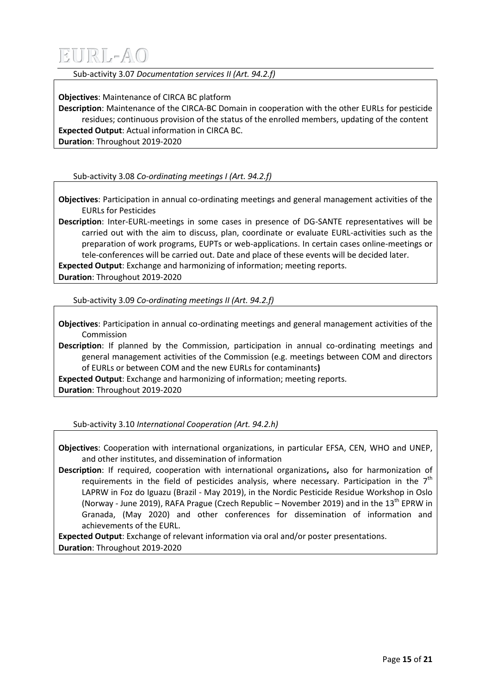Sub-activity 3.07 *Documentation services II (Art. 94.2.f)*

**Objectives**: Maintenance of CIRCA BC platform

**Description**: Maintenance of the CIRCA-BC Domain in cooperation with the other EURLs for pesticide residues; continuous provision of the status of the enrolled members, updating of the content **Expected Output**: Actual information in CIRCA BC.

**Duration**: Throughout 2019-2020

Sub-activity 3.08 *Co-ordinating meetings I (Art. 94.2.f)*

**Objectives**: Participation in annual co-ordinating meetings and general management activities of the EURLs for Pesticides

**Description**: Inter-EURL-meetings in some cases in presence of DG-SANTE representatives will be carried out with the aim to discuss, plan, coordinate or evaluate EURL-activities such as the preparation of work programs, EUPTs or web-applications. In certain cases online-meetings or tele-conferences will be carried out. Date and place of these events will be decided later.

**Expected Output**: Exchange and harmonizing of information; meeting reports.

**Duration**: Throughout 2019-2020

Sub-activity 3.09 *Co-ordinating meetings II (Art. 94.2.f)*

**Objectives**: Participation in annual co-ordinating meetings and general management activities of the Commission

**Description**: If planned by the Commission, participation in annual co-ordinating meetings and general management activities of the Commission (e.g. meetings between COM and directors of EURLs or between COM and the new EURLs for contaminants**)**

**Expected Output**: Exchange and harmonizing of information; meeting reports. **Duration**: Throughout 2019-2020

Sub-activity 3.10 *International Cooperation (Art. 94.2.h)*

**Objectives**: Cooperation with international organizations, in particular EFSA, CEN, WHO and UNEP, and other institutes, and dissemination of information

**Description**: If required, cooperation with international organizations**,** also for harmonization of requirements in the field of pesticides analysis, where necessary. Participation in the  $7<sup>th</sup>$ LAPRW in Foz do Iguazu (Brazil - May 2019), in the Nordic Pesticide Residue Workshop in Oslo (Norway - June 2019), RAFA Prague (Czech Republic – November 2019) and in the 13<sup>th</sup> EPRW in Granada, (May 2020) and other conferences for dissemination of information and achievements of the EURL.

**Expected Output**: Exchange of relevant information via oral and/or poster presentations. **Duration**: Throughout 2019-2020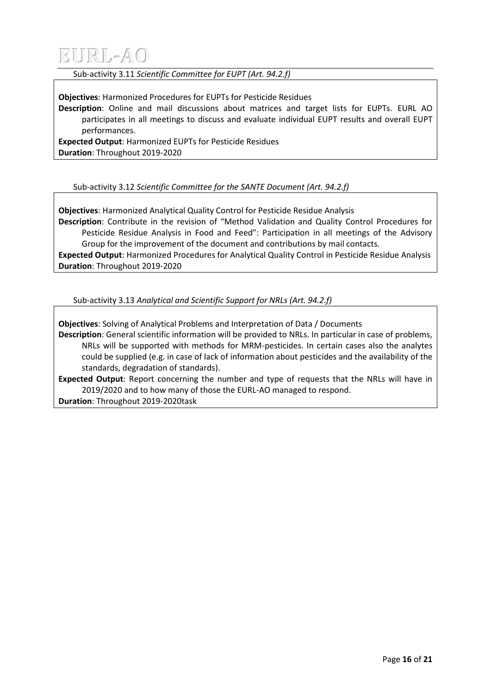

Sub-activity 3.11 *Scientific Committee for EUPT (Art. 94.2.f)*

**Objectives**: Harmonized Procedures for EUPTs for Pesticide Residues

**Description**: Online and mail discussions about matrices and target lists for EUPTs. EURL AO participates in all meetings to discuss and evaluate individual EUPT results and overall EUPT performances.

**Expected Output**: Harmonized EUPTs for Pesticide Residues **Duration**: Throughout 2019-2020

Sub-activity 3.12 *Scientific Committee for the SANTE Document (Art. 94.2.f)*

**Objectives**: Harmonized Analytical Quality Control for Pesticide Residue Analysis **Description**: Contribute in the revision of "Method Validation and Quality Control Procedures for Pesticide Residue Analysis in Food and Feed": Participation in all meetings of the Advisory Group for the improvement of the document and contributions by mail contacts. **Expected Output**: Harmonized Procedures for Analytical Quality Control in Pesticide Residue Analysis **Duration**: Throughout 2019-2020

Sub-activity 3.13 *Analytical and Scientific Support for NRLs (Art. 94.2.f)*

**Objectives**: Solving of Analytical Problems and Interpretation of Data / Documents

**Description**: General scientific information will be provided to NRLs. In particular in case of problems, NRLs will be supported with methods for MRM-pesticides. In certain cases also the analytes could be supplied (e.g. in case of lack of information about pesticides and the availability of the standards, degradation of standards).

**Expected Output**: Report concerning the number and type of requests that the NRLs will have in 2019/2020 and to how many of those the EURL-AO managed to respond.

**Duration**: Throughout 2019-2020task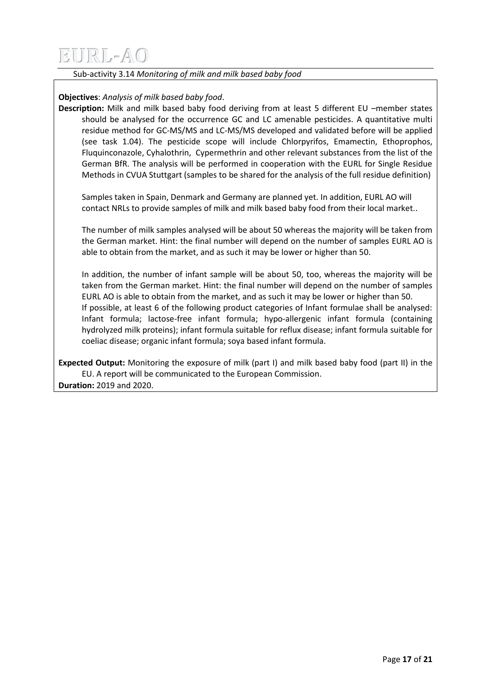Sub-activity 3.14 *Monitoring of milk and milk based baby food*

### **Objectives**: *Analysis of milk based baby food*.

**Description:** Milk and milk based baby food deriving from at least 5 different EU –member states should be analysed for the occurrence GC and LC amenable pesticides. A quantitative multi residue method for GC-MS/MS and LC-MS/MS developed and validated before will be applied (see task 1.04). The pesticide scope will include Chlorpyrifos, Emamectin, Ethoprophos, Fluquinconazole, Cyhalothrin, Cypermethrin and other relevant substances from the list of the German BfR. The analysis will be performed in cooperation with the EURL for Single Residue Methods in CVUA Stuttgart (samples to be shared for the analysis of the full residue definition)

Samples taken in Spain, Denmark and Germany are planned yet. In addition, EURL AO will contact NRLs to provide samples of milk and milk based baby food from their local market..

The number of milk samples analysed will be about 50 whereas the majority will be taken from the German market. Hint: the final number will depend on the number of samples EURL AO is able to obtain from the market, and as such it may be lower or higher than 50.

In addition, the number of infant sample will be about 50, too, whereas the majority will be taken from the German market. Hint: the final number will depend on the number of samples EURL AO is able to obtain from the market, and as such it may be lower or higher than 50. If possible, at least 6 of the following product categories of Infant formulae shall be analysed: Infant formula; lactose-free infant formula; hypo-allergenic infant formula (containing hydrolyzed milk proteins); infant formula suitable for reflux disease; infant formula suitable for coeliac disease; organic infant formula; soya based infant formula.

**Expected Output:** Monitoring the exposure of milk (part I) and milk based baby food (part II) in the EU. A report will be communicated to the European Commission. **Duration:** 2019 and 2020.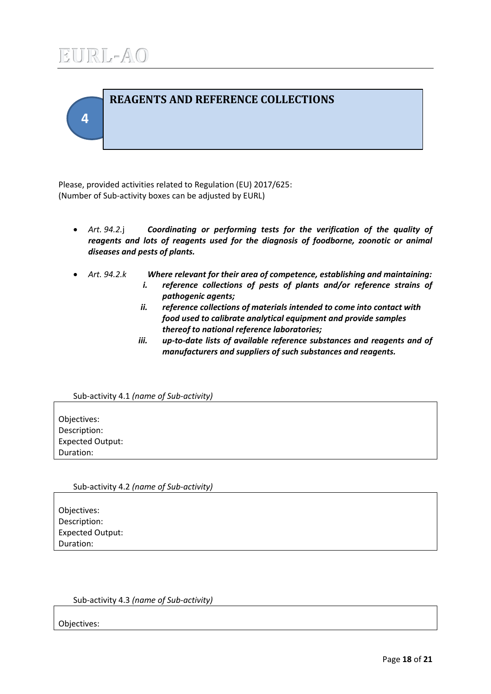<span id="page-17-0"></span>

Please, provided activities related to Regulation (EU) 2017/625: (Number of Sub-activity boxes can be adjusted by EURL)

- *Art. 94.2.*j *Coordinating or performing tests for the verification of the quality of reagents and lots of reagents used for the diagnosis of foodborne, zoonotic or animal diseases and pests of plants.*
- - *Art. 94.2.k Where relevant for their area of competence, establishing and maintaining: i. reference collections of pests of plants and/or reference strains of pathogenic agents;*
		- *ii. reference collections of materials intended to come into contact with food used to calibrate analytical equipment and provide samples thereof to national reference laboratories;*
		- *iii. up-to-date lists of available reference substances and reagents and of manufacturers and suppliers of such substances and reagents.*

### Sub-activity 4.1 *(name of Sub-activity)*

Objectives: Description: Expected Output: Duration:

Sub-activity 4.2 *(name of Sub-activity)*

Objectives: Description: Expected Output: Duration:

### Sub-activity 4.3 *(name of Sub-activity)*

Objectives: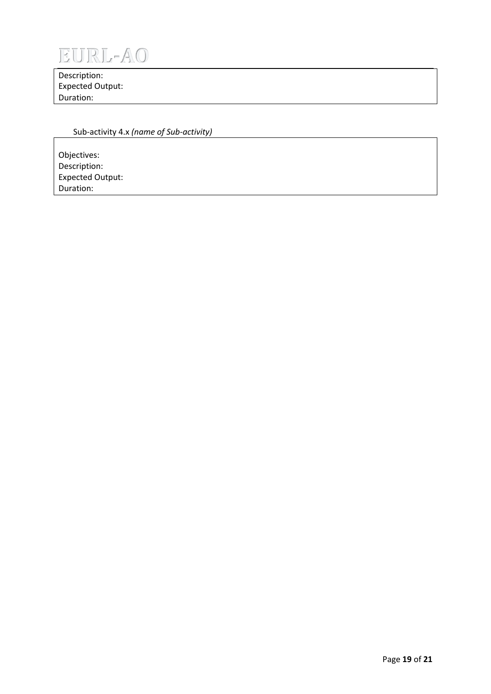

Description: Expected Output: Duration:

### Sub-activity 4.x *(name of Sub-activity)*

Objectives: Description: Expected Output: Duration: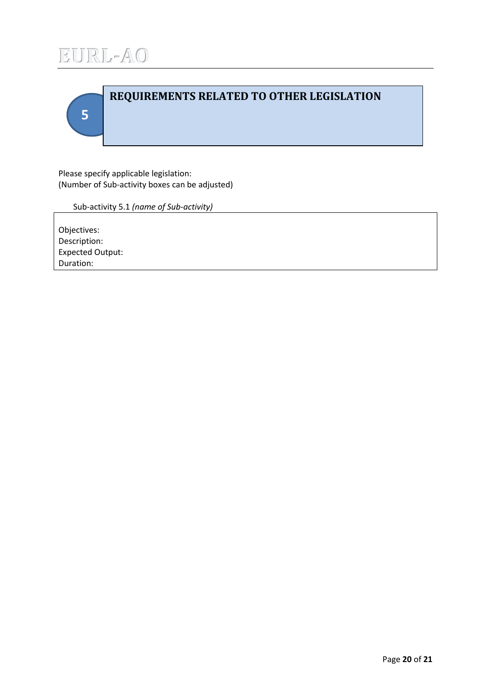

<span id="page-19-0"></span>

Please specify applicable legislation: (Number of Sub-activity boxes can be adjusted)

Sub-activity 5.1 *(name of Sub-activity)*

Objectives: Description: Expected Output: Duration: